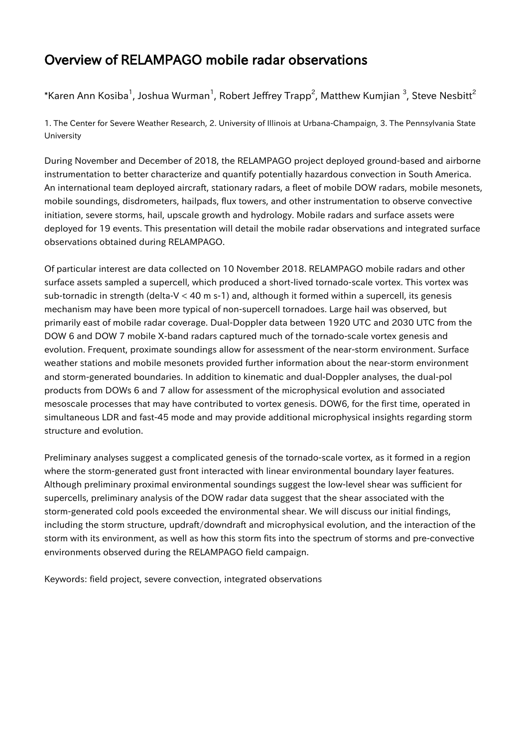## Overview of RELAMPAGO mobile radar observations

## \*Karen Ann Kosiba $^1$ , Joshua Wurman $^1$ , Robert Jeffrey Trapp $^2$ , Matthew Kumjian  $^3$ , Steve Nesbitt $^2$

1. The Center for Severe Weather Research, 2. University of Illinois at Urbana-Champaign, 3. The Pennsylvania State University

During November and December of 2018, the RELAMPAGO project deployed ground-based and airborne instrumentation to better characterize and quantify potentially hazardous convection in South America. An international team deployed aircraft, stationary radars, a fleet of mobile DOW radars, mobile mesonets, mobile soundings, disdrometers, hailpads, flux towers, and other instrumentation to observe convective initiation, severe storms, hail, upscale growth and hydrology. Mobile radars and surface assets were deployed for 19 events. This presentation will detail the mobile radar observations and integrated surface observations obtained during RELAMPAGO.

Of particular interest are data collected on 10 November 2018. RELAMPAGO mobile radars and other surface assets sampled a supercell, which produced a short-lived tornado-scale vortex. This vortex was sub-tornadic in strength (delta-V < 40 m s-1) and, although it formed within a supercell, its genesis mechanism may have been more typical of non-supercell tornadoes. Large hail was observed, but primarily east of mobile radar coverage. Dual-Doppler data between 1920 UTC and 2030 UTC from the DOW 6 and DOW 7 mobile X-band radars captured much of the tornado-scale vortex genesis and evolution. Frequent, proximate soundings allow for assessment of the near-storm environment. Surface weather stations and mobile mesonets provided further information about the near-storm environment and storm-generated boundaries. In addition to kinematic and dual-Doppler analyses, the dual-pol products from DOWs 6 and 7 allow for assessment of the microphysical evolution and associated mesoscale processes that may have contributed to vortex genesis. DOW6, for the first time, operated in simultaneous LDR and fast-45 mode and may provide additional microphysical insights regarding storm structure and evolution.

Preliminary analyses suggest a complicated genesis of the tornado-scale vortex, as it formed in a region where the storm-generated gust front interacted with linear environmental boundary layer features. Although preliminary proximal environmental soundings suggest the low-level shear was sufficient for supercells, preliminary analysis of the DOW radar data suggest that the shear associated with the storm-generated cold pools exceeded the environmental shear. We will discuss our initial findings, including the storm structure, updraft/downdraft and microphysical evolution, and the interaction of the storm with its environment, as well as how this storm fits into the spectrum of storms and pre-convective environments observed during the RELAMPAGO field campaign.

Keywords: field project, severe convection, integrated observations